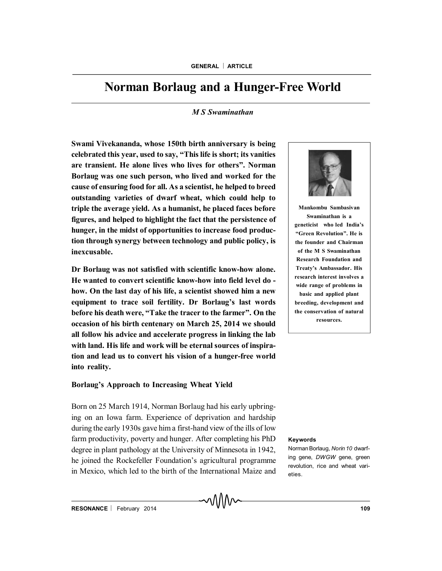# **Norman Borlaug and a Hunger-Free World**

#### *M S Swaminathan*

**Swami Vivekananda, whose 150th birth anniversary is being celebrated this year, used to say, "This life is short; its vanities are transient. He alone lives who lives for others". Norman Borlaug was one such person, who lived and worked for the cause of ensuring food for all. As a scientist, he helped to breed outstanding varieties of dwarf wheat, which could help to triple the average yield. As a humanist, he placed faces before figures, and helped to highlight the fact that the persistence of hunger, in the midst of opportunities to increase food production through synergy between technology and public policy, is inexcusable.**

**Dr Borlaug was not satisfied with scientific know-how alone. He wanted to convert scientific know-how into field level do how. On the last day of his life, a scientist showed him a new equipment to trace soil fertility. Dr Borlaug's last words before his death were, "Take the tracer to the farmer". On the occasion of his birth centenary on March 25, 2014 we should all follow his advice and accelerate progress in linking the lab with land. His life and work will be eternal sources of inspiration and lead us to convert his vision of a hunger-free world into reality.**

### **Borlaug's Approach to Increasing Wheat Yield**

Born on 25 March 1914, Norman Borlaug had his early upbringing on an Iowa farm. Experience of deprivation and hardship during the early 1930s gave him a first-hand view of the ills of low farm productivity, poverty and hunger. After completing his PhD degree in plant pathology at the University of Minnesota in 1942, he joined the Rockefeller Foundation's agricultural programme in Mexico, which led to the birth of the International Maize and

MMM



**Mankombu Sambasivan Swaminathan is a geneticist who led India's "Green Revolution". He is the founder and Chairman of the M S Swaminathan Research Foundation and Treaty's Ambassador. His research interest involves a wide range of problems in basic and applied plant breeding, development and the conservation of natural resources.**

#### **Keywords**

Norman Borlaug, *Norin 10* dwarfing gene, *DWGW* gene, green revolution, rice and wheat varieties.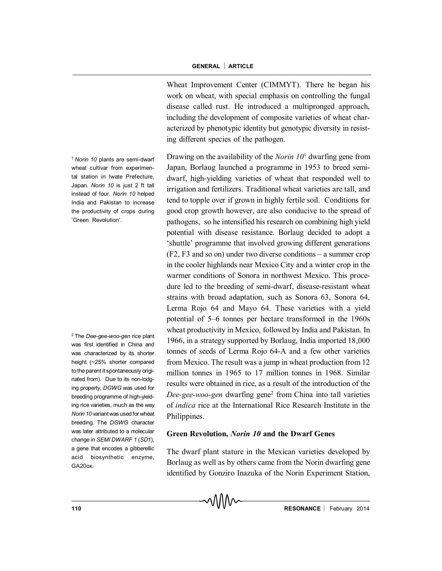Wheat Improvement Center (CIMMYT). There he began his work on wheat, with special emphasis on controlling the fungal disease called rust. He introduced a multipronged approach, including the development of composite varieties of wheat characterized by phenotypic identity but genotypic diversity in resisting different species of the pathogen.

Drawing on the availability of the *Norin 10*<sup>1</sup> dwarfing gene from Japan, Borlaug launched a programme in 1953 to breed semidwarf, high-yielding varieties of wheat that responded well to irrigation and fertilizers. Traditional wheat varieties are tall, and tend to topple over if grown in highly fertile soil. Conditions for good crop growth however, are also conducive to the spread of pathogens, so he intensified his research on combining high yield potential with disease resistance. Borlaug decided to adopt a 'shuttle' programme that involved growing different generations (F2, F3 and so on) under two diverse conditions – a summer crop in the cooler highlands near Mexico City and a winter crop in the warmer conditions of Sonora in northwest Mexico. This procedure led to the breeding of semi-dwarf, disease-resistant wheat strains with broad adaptation, such as Sonora 63, Sonora 64, Lerma Rojo 64 and Mayo 64. These varieties with a yield potential of 5–6 tonnes per hectare transformed in the 1960s wheat productivity in Mexico, followed by India and Pakistan. In 1966, in a strategy supported by Borlaug, India imported 18,000 tonnes of seeds of Lerma Rojo 64-A and a few other varieties from Mexico. The result was a jump in wheat production from 12 million tonnes in 1965 to 17 million tonnes in 1968. Similar results were obtained in rice, as a result of the introduction of the *Dee-gee-woo-gen* dwarfing gene<sup>2</sup> from China into tall varieties of *indica* rice at the International Rice Research Institute in the Philippines.

#### **Green Revolution,** *Norin 10* **and the Dwarf Genes**

The dwarf plant stature in the Mexican varieties developed by Borlaug as well as by others came from the Norin dwarfing gene identified by Gonziro Inazuka of the Norin Experiment Station,

<sup>1</sup> *Norin 10* plants are semi-dwarf wheat cultivar from experimental station in Iwate Prefecture, Japan. *Norin 10* is just 2 ft tall instead of four. *Norin 10* helped India and Pakistan to increase the productivity of crops during 'Green Revolution'.

<sup>2</sup> The *Dee-gee-woo-gen* rice plant was first identified in China and was characterized by its shorter height (~25% shorter compared to the parent it spontaneously originated from). Due to its non-lodging property, *DGWG* was used for breeding programme of high-yielding rice varieties, much as the way *Norin 10* variantwas used for wheat breeding. The *DGWG* character was later attributed to a molecular change in *SEMI DWARF 1* (*SD1*), a gene that encodes a gibberellic acid biosynthetic enzyme, GA20ox.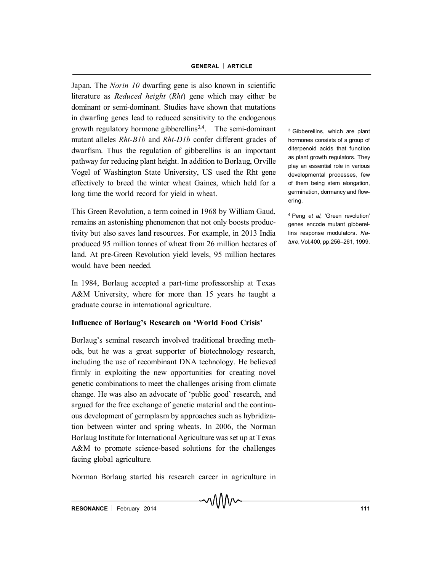Japan. The *Norin 10* dwarfing gene is also known in scientific literature as *Reduced height* (*Rht*) gene which may either be dominant or semi-dominant. Studies have shown that mutations in dwarfing genes lead to reduced sensitivity to the endogenous growth regulatory hormone gibberellins<sup>3,4</sup>. The semi-dominant mutant alleles *Rht-B1b* and *Rht-D1b* confer different grades of dwarfism. Thus the regulation of gibberellins is an important pathway for reducing plant height. In addition to Borlaug, Orville Vogel of Washington State University, US used the Rht gene effectively to breed the winter wheat Gaines, which held for a long time the world record for yield in wheat.

This Green Revolution, a term coined in 1968 by William Gaud, remains an astonishing phenomenon that not only boosts productivity but also saves land resources. For example, in 2013 India produced 95 million tonnes of wheat from 26 million hectares of land. At pre-Green Revolution yield levels, 95 million hectares would have been needed.

In 1984, Borlaug accepted a part-time professorship at Texas A&M University, where for more than 15 years he taught a graduate course in international agriculture.

## **Influence of Borlaug's Research on 'World Food Crisis'**

Borlaug's seminal research involved traditional breeding methods, but he was a great supporter of biotechnology research, including the use of recombinant DNA technology. He believed firmly in exploiting the new opportunities for creating novel genetic combinations to meet the challenges arising from climate change. He was also an advocate of 'public good' research, and argued for the free exchange of genetic material and the continuous development of germplasm by approaches such as hybridization between winter and spring wheats. In 2006, the Norman Borlaug Institute for International Agriculture was set up at Texas A&M to promote science-based solutions for the challenges facing global agriculture.

Norman Borlaug started his research career in agriculture in

<sup>3</sup> Gibberellins, which are plant hormones consists of a group of diterpenoid acids that function as plant growth regulators. They play an essential role in various developmental processes, few of them being stem elongation, germination, dormancy and flowering.

<sup>4</sup> Peng *et al*, 'Green revolution' genes encode mutant gibberellins response modulators. *Nature*, Vol.400, pp.256–261, 1999.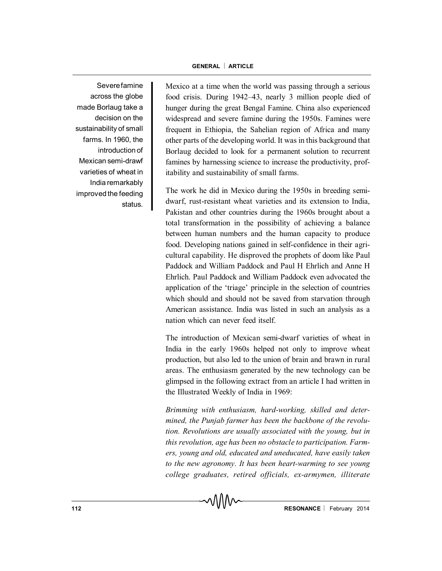**Severefamine** across the globe made Borlaug take a decision on the sustainability of small farms. In 1960, the introduction of Mexican semi-drawf varieties of wheat in India remarkably improved the feeding status.

Mexico at a time when the world was passing through a serious food crisis. During 1942–43, nearly 3 million people died of hunger during the great Bengal Famine. China also experienced widespread and severe famine during the 1950s. Famines were frequent in Ethiopia, the Sahelian region of Africa and many other parts of the developing world. It was in this background that Borlaug decided to look for a permanent solution to recurrent famines by harnessing science to increase the productivity, profitability and sustainability of small farms.

The work he did in Mexico during the 1950s in breeding semidwarf, rust-resistant wheat varieties and its extension to India, Pakistan and other countries during the 1960s brought about a total transformation in the possibility of achieving a balance between human numbers and the human capacity to produce food. Developing nations gained in self-confidence in their agricultural capability. He disproved the prophets of doom like Paul Paddock and William Paddock and Paul H Ehrlich and Anne H Ehrlich. Paul Paddock and William Paddock even advocated the application of the 'triage' principle in the selection of countries which should and should not be saved from starvation through American assistance. India was listed in such an analysis as a nation which can never feed itself.

The introduction of Mexican semi-dwarf varieties of wheat in India in the early 1960s helped not only to improve wheat production, but also led to the union of brain and brawn in rural areas. The enthusiasm generated by the new technology can be glimpsed in the following extract from an article I had written in the Illustrated Weekly of India in 1969:

*Brimming with enthusiasm, hard-working, skilled and determined, the Punjab farmer has been the backbone of the revolution. Revolutions are usually associated with the young, but in this revolution, age has been no obstacle to participation. Farmers, young and old, educated and uneducated, have easily taken to the new agronomy. It has been heart-warming to see young college graduates, retired officials, ex-armymen, illiterate*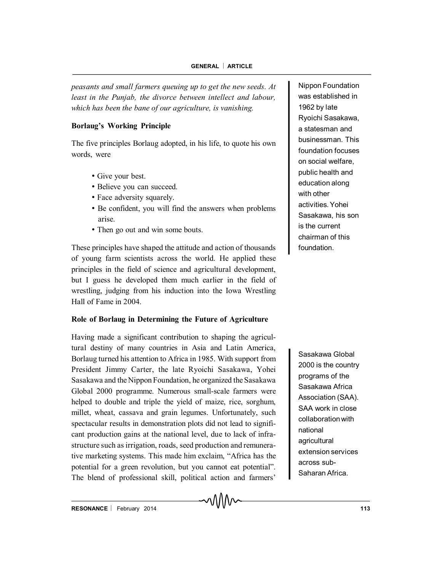*peasants and small farmers queuing up to get the new seeds. At least in the Punjab, the divorce between intellect and labour, which has been the bane of our agriculture, is vanishing.*

## **Borlaug's Working Principle**

The five principles Borlaug adopted, in his life, to quote his own words, were

- Give your best.
- Believe you can succeed.
- Face adversity squarely.
- Be confident, you will find the answers when problems arise.
- Then go out and win some bouts.

These principles have shaped the attitude and action of thousands of young farm scientists across the world. He applied these principles in the field of science and agricultural development, but I guess he developed them much earlier in the field of wrestling, judging from his induction into the Iowa Wrestling Hall of Fame in 2004.

## **Role of Borlaug in Determining the Future of Agriculture**

Having made a significant contribution to shaping the agricultural destiny of many countries in Asia and Latin America, Borlaug turned his attention to Africa in 1985. With support from President Jimmy Carter, the late Ryoichi Sasakawa, Yohei Sasakawa and the Nippon Foundation, he organized the Sasakawa Global 2000 programme. Numerous small-scale farmers were helped to double and triple the yield of maize, rice, sorghum, millet, wheat, cassava and grain legumes. Unfortunately, such spectacular results in demonstration plots did not lead to significant production gains at the national level, due to lack of infrastructure such as irrigation, roads, seed production and remunerative marketing systems. This made him exclaim, "Africa has the potential for a green revolution, but you cannot eat potential". The blend of professional skill, political action and farmers'

៱៱៲៶៱

Nippon Foundation was established in 1962 by late Ryoichi Sasakawa, a statesman and businessman. This foundation focuses on social welfare, public health and education along with other activities. Yohei Sasakawa, his son is the current chairman of this foundation.

Sasakawa Global 2000 is the country programs of the Sasakawa Africa Association (SAA). SAA work in close collaboration with national agricultural extension services across sub-Saharan Africa.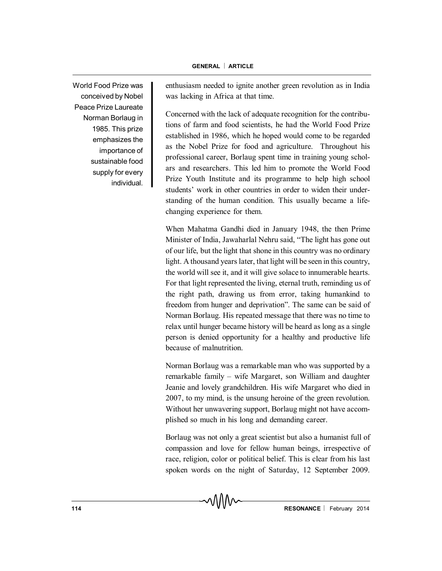World Food Prize was conceived by Nobel Peace Prize Laureate Norman Borlaug in 1985. This prize emphasizes the importance of sustainable food supply for every individual. enthusiasm needed to ignite another green revolution as in India was lacking in Africa at that time.

Concerned with the lack of adequate recognition for the contributions of farm and food scientists, he had the World Food Prize established in 1986, which he hoped would come to be regarded as the Nobel Prize for food and agriculture. Throughout his professional career, Borlaug spent time in training young scholars and researchers. This led him to promote the World Food Prize Youth Institute and its programme to help high school students' work in other countries in order to widen their understanding of the human condition. This usually became a lifechanging experience for them.

When Mahatma Gandhi died in January 1948, the then Prime Minister of India, Jawaharlal Nehru said, "The light has gone out of our life, but the light that shone in this country was no ordinary light. A thousand years later, that light will be seen in this country, the world will see it, and it will give solace to innumerable hearts. For that light represented the living, eternal truth, reminding us of the right path, drawing us from error, taking humankind to freedom from hunger and deprivation". The same can be said of Norman Borlaug. His repeated message that there was no time to relax until hunger became history will be heard as long as a single person is denied opportunity for a healthy and productive life because of malnutrition.

Norman Borlaug was a remarkable man who was supported by a remarkable family – wife Margaret, son William and daughter Jeanie and lovely grandchildren. His wife Margaret who died in 2007, to my mind, is the unsung heroine of the green revolution. Without her unwavering support, Borlaug might not have accomplished so much in his long and demanding career.

Borlaug was not only a great scientist but also a humanist full of compassion and love for fellow human beings, irrespective of race, religion, color or political belief. This is clear from his last spoken words on the night of Saturday, 12 September 2009.